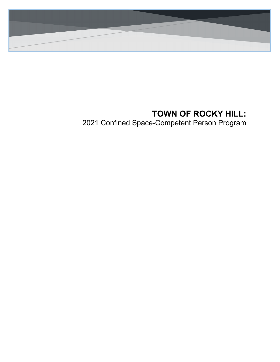

# **TOWN OF ROCKY HILL:**

2021 Confined Space-Competent Person Program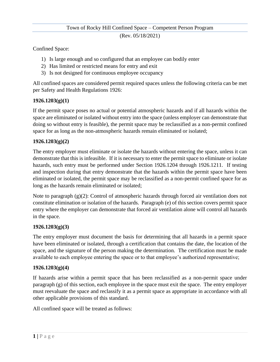#### Town of Rocky Hill Confined Space – Competent Person Program

(Rev. 05/18/2021)

Confined Space:

- 1) Is large enough and so configured that an employee can bodily enter
- 2) Has limited or restricted means for entry and exit
- 3) Is not designed for continuous employee occupancy

All confined spaces are considered permit required spaces unless the following criteria can be met per Safety and Health Regulations 1926:

#### **1926.1203(g)(1)**

If the permit space poses no actual or potential atmospheric hazards and if all hazards within the space are eliminated or isolated without entry into the space (unless employer can demonstrate that doing so without entry is feasible), the permit space may be reclassified as a non-permit confined space for as long as the non-atmospheric hazards remain eliminated or isolated;

#### **1926.1203(g)(2)**

The entry employer must eliminate or isolate the hazards without entering the space, unless it can demonstrate that this is infeasible. If it is necessary to enter the permit space to eliminate or isolate hazards, such entry must be performed under Section 1926.1204 through 1926.1211. If testing and inspection during that entry demonstrate that the hazards within the permit space have been eliminated or isolated, the permit space may be reclassified as a non-permit confined space for as long as the hazards remain eliminated or isolated;

Note to paragraph (g)(2): Control of atmospheric hazards through forced air ventilation does not constitute elimination or isolation of the hazards. Paragraph (e) of this section covers permit space entry where the employer can demonstrate that forced air ventilation alone will control all hazards in the space.

#### **1926.1203(g)(3)**

The entry employer must document the basis for determining that all hazards in a permit space have been eliminated or isolated, through a certification that contains the date, the location of the space, and the signature of the person making the determination. The certification must be made available to each employee entering the space or to that employee's authorized representative;

#### **1926.1203(g)(4)**

If hazards arise within a permit space that has been reclassified as a non-permit space under paragraph  $(g)$  of this section, each employee in the space must exit the space. The entry employer must reevaluate the space and reclassify it as a permit space as appropriate in accordance with all other applicable provisions of this standard.

All confined space will be treated as follows: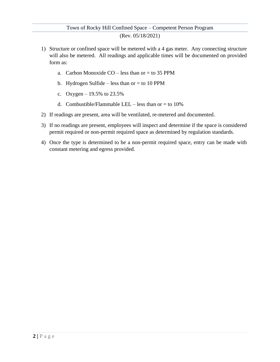#### Town of Rocky Hill Confined Space – Competent Person Program

(Rev. 05/18/2021)

- 1) Structure or confined space will be metered with a 4 gas meter. Any connecting structure will also be metered. All readings and applicable times will be documented on provided form as:
	- a. Carbon Monoxide  $CO$  less than or = to 35 PPM
	- b. Hydrogen Sulfide less than or  $=$  to 10 PPM
	- c. Oxygen 19.5% to 23.5%
	- d. Combustible/Flammable LEL less than or = to  $10\%$
- 2) If readings are present, area will be ventilated, re-metered and documented.
- 3) If no readings are present, employees will inspect and determine if the space is considered permit required or non-permit required space as determined by regulation standards.
- 4) Once the type is determined to be a non-permit required space, entry can be made with constant metering and egress provided.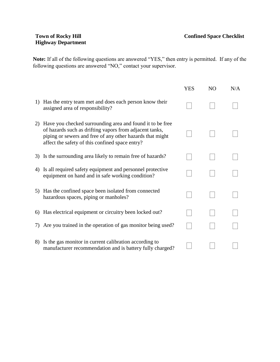**Note:** If all of the following questions are answered "YES," then entry is permitted. If any of the following questions are answered "NO," contact your supervisor.

|     |                                                                                                                                                                                                                                      | <b>YES</b> | N <sub>O</sub> | N/A |
|-----|--------------------------------------------------------------------------------------------------------------------------------------------------------------------------------------------------------------------------------------|------------|----------------|-----|
| 1)  | Has the entry team met and does each person know their<br>assigned area of responsibility?                                                                                                                                           |            |                |     |
| 2)  | Have you checked surrounding area and found it to be free<br>of hazards such as drifting vapors from adjacent tanks,<br>piping or sewers and free of any other hazards that might<br>affect the safety of this confined space entry? |            |                |     |
|     | 3) Is the surrounding area likely to remain free of hazards?                                                                                                                                                                         |            |                |     |
| 4)  | Is all required safety equipment and personnel protective<br>equipment on hand and in safe working condition?                                                                                                                        |            |                |     |
| 5)  | Has the confined space been isolated from connected<br>hazardous spaces, piping or manholes?                                                                                                                                         |            |                |     |
| 6)  | Has electrical equipment or circuitry been locked out?                                                                                                                                                                               |            |                |     |
| 7). | Are you trained in the operation of gas monitor being used?                                                                                                                                                                          |            |                |     |
| 8)  | Is the gas monitor in current calibration according to<br>manufacturer recommendation and is battery fully charged?                                                                                                                  |            |                |     |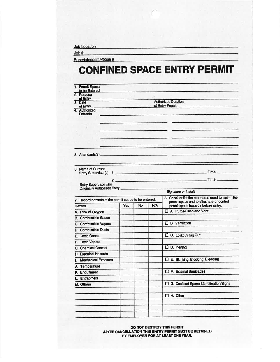Job Location

 $Job#$ 

Superintendent Phone #

## **CONFINED SPACE ENTRY PERMIT**

| 1. Permit Space                                      |     |                            |     |                                                                                               |  |  |  |  |
|------------------------------------------------------|-----|----------------------------|-----|-----------------------------------------------------------------------------------------------|--|--|--|--|
| to be Entered                                        |     |                            |     |                                                                                               |  |  |  |  |
| 2. Purpose<br>of Entry                               |     |                            |     |                                                                                               |  |  |  |  |
| 3. Date                                              |     | <b>Authorized Duration</b> |     |                                                                                               |  |  |  |  |
| of Entry                                             |     |                            |     | of Entry Permit                                                                               |  |  |  |  |
| 4. Authorized<br><b>Entrants</b>                     |     |                            |     |                                                                                               |  |  |  |  |
|                                                      |     |                            |     |                                                                                               |  |  |  |  |
|                                                      |     |                            |     |                                                                                               |  |  |  |  |
|                                                      |     |                            |     |                                                                                               |  |  |  |  |
|                                                      |     |                            |     |                                                                                               |  |  |  |  |
|                                                      |     |                            |     |                                                                                               |  |  |  |  |
| 5. Attendants(s)                                     |     |                            |     |                                                                                               |  |  |  |  |
|                                                      |     |                            |     |                                                                                               |  |  |  |  |
|                                                      |     |                            |     |                                                                                               |  |  |  |  |
| 6. Name of Current                                   |     |                            |     | Entry Supervisor(s) 1. Time Time                                                              |  |  |  |  |
|                                                      |     |                            |     |                                                                                               |  |  |  |  |
| Entry Supervisor who                                 |     |                            |     |                                                                                               |  |  |  |  |
| Originally Authorized Entry                          |     |                            |     |                                                                                               |  |  |  |  |
|                                                      |     |                            |     | Signature or Initials                                                                         |  |  |  |  |
| 7. Record hazards of the permit space to be entered. |     |                            |     | 8. Check or list the measures used to isolate the<br>permit space and to eliminate or control |  |  |  |  |
| Hazard                                               | Yes | No                         | N/A | permit space hazards before entry.                                                            |  |  |  |  |
| A. Lack of Oxygen                                    |     |                            |     | $\Box$ A. Purge-Flush and Vent                                                                |  |  |  |  |
| <b>B. Combustible Gases</b>                          |     |                            |     |                                                                                               |  |  |  |  |
| C. Combustible Vapors                                |     |                            |     | $\Box$ B. Ventilation                                                                         |  |  |  |  |
| D. Combustible Dusts                                 |     |                            |     |                                                                                               |  |  |  |  |
| E. Toxic Gases                                       |     |                            |     | C. Lockout/Tag Out                                                                            |  |  |  |  |
| F. Toxic Vapors                                      |     |                            |     |                                                                                               |  |  |  |  |
| G. Chemical Contact                                  |     |                            |     | $\Box$ D. inerting                                                                            |  |  |  |  |
| <b>H. Electrical Hazards</b>                         |     |                            |     |                                                                                               |  |  |  |  |
| <b>Mechanical Exposure</b><br>t.                     |     |                            |     | E. Blanking, Blocking, Bleeding<br>□                                                          |  |  |  |  |
| J. Temperature                                       |     |                            |     |                                                                                               |  |  |  |  |
| K. Engulfment                                        |     |                            |     | F. External Barricades                                                                        |  |  |  |  |
| L. Entrapment                                        |     |                            |     |                                                                                               |  |  |  |  |
| M. Others                                            |     |                            |     | □ G. Confined Space Identification/Signs                                                      |  |  |  |  |
|                                                      |     |                            |     |                                                                                               |  |  |  |  |
|                                                      |     |                            |     | $\Box$ H. Other                                                                               |  |  |  |  |
|                                                      |     |                            |     |                                                                                               |  |  |  |  |
|                                                      |     |                            |     |                                                                                               |  |  |  |  |
|                                                      |     |                            |     |                                                                                               |  |  |  |  |
|                                                      |     |                            |     |                                                                                               |  |  |  |  |

#### DO NOT DESTROY THIS PERMIT AFTER CANCELLATION THIS ENTRY PERMIT MUST BE RETAINED BY EMPLOYER FOR AT LEAST ONE YEAR.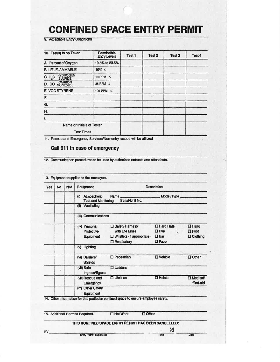### **CONFINED SPACE ENTRY PERMIT**

9. Acceptable Entry Conditions

| 10. Test(s) to be Taken                         | Permissible<br><b>Entry Levels</b> | Test 1 | Test <sub>2</sub> | Test 3 | Test 4 |  |
|-------------------------------------------------|------------------------------------|--------|-------------------|--------|--------|--|
| A. Percent of Oxygen                            | 19.5% to 23.5%                     |        |                   |        |        |  |
| <b>B. LEL FLAMMABLE</b>                         | $10\% \leq$                        |        |                   |        |        |  |
| HYDROGEN<br>SULFIDE<br>C.H, S                   | 10 PPM $\leq$                      |        |                   |        |        |  |
| D. CO MONOXIDE                                  | 35 PPM $\leq$                      |        |                   |        |        |  |
| E. VOC STYRENE                                  | 100 PPM ≤                          |        |                   |        |        |  |
| F.                                              |                                    |        |                   |        |        |  |
| G.                                              |                                    |        |                   |        |        |  |
| Η.                                              |                                    |        |                   |        |        |  |
| ı.                                              |                                    |        |                   |        |        |  |
| Name or Initials of Tester<br><b>Test Times</b> |                                    |        |                   |        |        |  |

11. Rescue and Emergency Services/Non-entry rescue will be utilized

#### Call 911 in case of emergency

12. Communication procedures to be used by authorized entrants and attendants.

| Yes | <b>No</b> | N/A | Description<br>Equipment                                                                                                                                                                                                                                                                                            |                                                                                                 |                                                                         |                                                     |  |  |  |  |  |  |  |  |  |
|-----|-----------|-----|---------------------------------------------------------------------------------------------------------------------------------------------------------------------------------------------------------------------------------------------------------------------------------------------------------------------|-------------------------------------------------------------------------------------------------|-------------------------------------------------------------------------|-----------------------------------------------------|--|--|--|--|--|--|--|--|--|
|     |           |     | Model/Type <b>Model</b> Model of the Model of the Model of the Model of the Model of the Model of the Model of the Model of the Model of the Model of the Model of the Model of the Model of the Model of the Model of the Model of<br>Atmospheric<br>Name_<br>(i)<br>Serial/Unit No.<br><b>Test and Monitoring</b> |                                                                                                 |                                                                         |                                                     |  |  |  |  |  |  |  |  |  |
|     |           |     | Ventilating<br>(ii)                                                                                                                                                                                                                                                                                                 |                                                                                                 |                                                                         |                                                     |  |  |  |  |  |  |  |  |  |
|     |           |     | Communications<br>(iii)                                                                                                                                                                                                                                                                                             |                                                                                                 |                                                                         |                                                     |  |  |  |  |  |  |  |  |  |
|     |           |     | (iv) Personal<br>Protective<br>Equipment                                                                                                                                                                                                                                                                            | □ Safety Hamess<br>with Life Lines<br>$\Box$ Wristlets (if appropriate)<br><b>I</b> Respiratory | $\square$ Hard Hats<br>$\square$ Eye<br>$\square$ Ear<br>$\square$ Face | $\square$ Hand<br>$\square$ Foot<br>$\Box$ Clothing |  |  |  |  |  |  |  |  |  |
|     |           |     | (v) Lighting                                                                                                                                                                                                                                                                                                        |                                                                                                 |                                                                         |                                                     |  |  |  |  |  |  |  |  |  |
|     |           |     | (vi) Barriers/<br><b>Shields</b>                                                                                                                                                                                                                                                                                    | $\square$ Pedestrian                                                                            | □ Vehicle                                                               | $\Box$ Other                                        |  |  |  |  |  |  |  |  |  |
|     |           |     | (vii) Safe<br>Ingress/Egress                                                                                                                                                                                                                                                                                        | $\Box$ Ladders                                                                                  |                                                                         |                                                     |  |  |  |  |  |  |  |  |  |
|     |           |     | (viii)Rescue and<br>Emergency                                                                                                                                                                                                                                                                                       | $\square$ Lifelines                                                                             | $\Box$ Hoists                                                           | $\square$ Medical/<br><b>First-ald</b>              |  |  |  |  |  |  |  |  |  |
|     |           |     | <b>Other Safety</b><br>(ix)<br>Equipment                                                                                                                                                                                                                                                                            |                                                                                                 |                                                                         |                                                     |  |  |  |  |  |  |  |  |  |

15. Additional Permits Required.  $\Box$  Hot Work

Entry Permit Supervisor

THIS CONFINED SPACE ENTRY PERMIT HAS BEEN CANCELLED:

 $\Box$  Other

AM<br>PM

Date

...<br>Time

BY.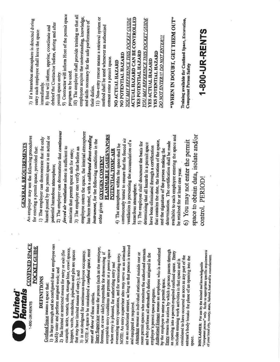|                             | 7) If a hazardous atmosphere is detected during                                             | entry each employee shall leave the space<br>immediately. | 8) Host will inform, apprise, coordinate and                                                    | debrief the Contractor before, during and after<br>permit space entry. | 9) Contractor will inform Host of the permit space                                                                       | 10) The employer shall provide training so that all<br>program to be used.                              | employees acquire the understanding, knowledge,<br>and skills necessary for the safe performance of            | 11) Non-entry rescue means a retrieval system or<br>their duties.                             | method shall be used whenever an authorized                     | entrant enter a permit space.                                                                                  | NO ACTUAL HAZARD                                        | <b>YOU MAY REFERENCE THIS POCKET GUIDE</b><br>NO POTENTIAL HAZARD | <b>ACTUAL HAZARD CAN BE CONTROLLED</b>                                                      | <b>YES POTENTIAL HAZARD</b>                            | <b>YOU MAY REFERENCE THIS POCKET GUIDE</b>                                                                         | <b>YES POTENTIAL HAZARD</b><br><b>YES ACTUAL HAZARD</b> | <b>DO NOT ENTERIII DO NOT ENTERIII</b>                                                             | "WHEN IN DOUBT, GET THEM OUT"                           |                                                                                                                  | Training available for Confined Space, Excavation,<br><b>Competent Person Safety</b>                             |                                      | 1-800-UR-RENTS                                                                                                                                                                                       |  |
|-----------------------------|---------------------------------------------------------------------------------------------|-----------------------------------------------------------|-------------------------------------------------------------------------------------------------|------------------------------------------------------------------------|--------------------------------------------------------------------------------------------------------------------------|---------------------------------------------------------------------------------------------------------|----------------------------------------------------------------------------------------------------------------|-----------------------------------------------------------------------------------------------|-----------------------------------------------------------------|----------------------------------------------------------------------------------------------------------------|---------------------------------------------------------|-------------------------------------------------------------------|---------------------------------------------------------------------------------------------|--------------------------------------------------------|--------------------------------------------------------------------------------------------------------------------|---------------------------------------------------------|----------------------------------------------------------------------------------------------------|---------------------------------------------------------|------------------------------------------------------------------------------------------------------------------|------------------------------------------------------------------------------------------------------------------|--------------------------------------|------------------------------------------------------------------------------------------------------------------------------------------------------------------------------------------------------|--|
| <b>GENERAL REQUIREMENTS</b> | An employer may use the following procedures<br>for entering a permit space, provided that: | 1) The employer can demonstrate that the only             | hazard posed by the permit space is an actual or<br>potential hazardous atmosphere;             | 2) The employer can demonstrate that continuous                        | forced air ventilation alone is sufficient to                                                                            | 3) The employer can verify that before an<br>maintain that permit space safe for entry;                 | employee enters the space, the internal atmosphere<br>has been tested, with a <i>calibrated direct-reading</i> | instrument, for the following conditions in the                                               | <b>FLAMMABLE GASES/VAPORS</b><br>given: OXYGEN CONTENT<br>order | POTENTIAL TOXIC AIR                                                                                            | 4) The atmosphere within the space shall be             | continuously tested to ensure that the forced air                 | ventilation is preventing the accumulation of a<br>hazardous atmosphere.                    | 5) The employer shall document the basis for           | determining that all hazards in a permit space                                                                     | have been eliminated through a certification            | that contains the date, the location of the space,<br>and the signature of the person making the   | determination. The certification shall be made          | available to each employee entering the space and<br>be retained for at least one year.                          | 6) You may not enter the permit                                                                                  | space to obtain data, isolate and/or | control. PERIOD!                                                                                                                                                                                     |  |
| United'<br>Rentals          | <b>CONFINED SPACE</b><br><b>POCKET GUIDE</b><br>-800-UR-RENTS                               | <b>DEFINITIONS</b>                                        | 1) Is large enough and so configured that an employee can<br>Confined Space means a space that: | bodily enter and perform assigned work; and                            | example, tanks, vessels, silos, storage bins, crawl spaces,<br>2) Has limited or restricted means for entry or exit (for | hoppers, vaults, manholes, pipelines and pits are spaces<br>that may have limited means of entry.); and | NOTE: A space to be considered a confined space, must<br>3) is not designed for continuous employee occupancy. | Entry Supervisor means the person (such as the employer,<br>meet all three of these criteria. | foreman, or crew chief) responsible for determining if          | acceptable entry conditions are present at a permit space<br>where entry is planned, for authorizing entry and | overseeing entry operations, and for terminating entry, | NOTE: An entry supervisor also may serve as an attendant          | or as an authorized entrant, as long as that person is trained<br>and equipped as required. | Attendant means an individual stationed outside one or | more permit spaces who monitors the authorized entrants<br>and who performs all attendant's duties assigned in the | employer's permit space program.                        | Authorized Entrant means an employee who is authorized<br>by the employer to enter a permit space, | Entry means the action by which a person passes through | an opening into a permit-required confined space. Entry<br>includes ensuing work activities in that space and is | considered to have occurred as soon as any part of the<br>entrant's body breaks the plane of an opening into the | space.                               | "competent person" only. Refer to appropriate specific requirements<br>of your local city, county, state, federal, host and/or manufacturer.<br>DISCLAIMER: For use by the trained and knowledgeable |  |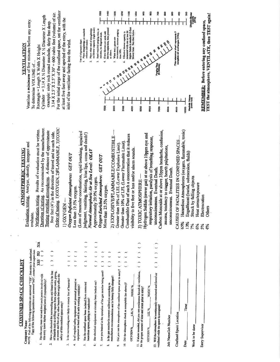**CONFINED SPACE CHECKLIST** 

**Company Name** 

AIR OR EXT. NOTE: If all of the following questions are answered "YES", then enty is authorized.<br>NOTE: If any of the following questions are answered "NO", connet your supervisor.

- Has the entry team met and does each person involved with<br>this entry know higher assigned area of responsibility? ú,
- $( )$  ( )  $\left(\frac{1}{2}\right)$ Have you checked the surrounding area and found it to be free of hazards such as drifting vapors from adjacent tanks, piping,<br>or severs and free of any other hazards that might affect the safety of this confined space entry?  $\overline{\mathbf{r}}$  $\frac{1}{2}$
- $( ) ( ) ( ) ( )$  $($   $)$   $($  $\binom{1}{k}$ Is the surrounding area likely to remain free of hazards? Is all required safety equipment and personal protective<br>equipment on hand and in sefe working condition? Has the confined space been isolated from connected ÷ vi,
	- Has electrical equipment or circuitry been locked out? hazardous spaces, piping or manholes? Ġ,
- $\left( \right)$  $\frac{1}{2}$ Are you trained in the operation of the gas monitor being used? 7.

 $\overline{\phantom{0}}$ 

- $( ) ( )$ manufacture recommendation and is battery fully charged? Is the gas monitor in current calibration according to oó
- $\begin{pmatrix} 1 \\ -1 \end{pmatrix}$ Did you test the atmosphere of the confined space prior to entry? o.
	- Did the aimosphere check as acceptable (no alarms)? 10.

 $\frac{1}{2}$ 

- TOXIC%  $LEL X_2$ OXYOEN %
- $( ) ( )$ If alarm sounded, did you use continuous forced air ventilation, for the proper amount of time and retest prior to entry? a.

TOXIC<sub>%</sub>  $LEL M$ OXYOEN %

 $( ) ( ) ( )$ thonitored and forced air 12. Will the atmosphere be continuously ventilated while the space is occupied?

Job Name/Job Number

Confined Space Location

Time Date \_ Work to be done

**Entry Supervisor** 

# Evaluation testing. Analyze, identify, interpret and **ATMOSTPHERIC TESTING**

evaluate.

Order of testing. I)OXYGEN, 2)FLAMMABLE, 3)TOXIC Duration of lesting. As recommended by the manufacturer. Verification testing. Results of evaluation must be written. Testing stratified atmospheres. A distance of approximate four feet  $(4')$  in the direction of travel and to each side.

DOXYGEN-

Oxygen Deficient Atmospheres: GET OUT Less than 19.5% oxygen.

(Loss of muscular coordination, rapid breathing, impaired judgment, vomiting, fainting, blue lips, coma and death!) Normal Atmospheric Air at Sea Level: OKAY Approximately 20.9% oxygen.

Oxygen Enriched Atmosphere: GET OUT More than 23.5% oxygen.

Combustible Dust of such a concentration that it reduces 2) EXPLOSIVE/FLAMMABLE/COMBUSTIBLE Greater than 10% of LFL (Lower Flammable Limit). Greater than 10% of LEL (Lower Explosive Limit). visibility to five feet or less and/or alarm sounds.

3) TOXIC ATMOSPHERE

 $\hat{\phantom{a}}$ 

Hydrogen Sulfide (sewer gas) at or above 10ppm eye and respiratory irritation, paralysis of breathing response, unconsciousness. Eventual Death.

Carbon Monoxide at or above 35ppm headache, confusion, nausea, tendency to stagger, hearth palpitations, unconsciousness. Eventual Death.

CAUSES OF FATALITIES IN CONFINED SPACES...

- Hazardous Atmospheres (oxygen, flammable, toxic) 65% 13%
	- Engulfment (burial, submersion, fluids)
		- Struck by falling objects 7%
			- Heat stress/exposure 6%
				- Electrocution 5%
					- **Others** 4%

# Ventilate a minimum of five minutes before any entry. **VENTILATION**

For the initial purge of the confined space, set the ventilator 3.14 X 2.5' X 2.5' X 30' = 600 cubic feet (volume) of air. Cylinder = 3.14 X 1/2 Diameter X 1/2 Diameter X Length at least five feet away and upwind of the entry, with the example: sixty inch round manbole, thirty feet deep. Rectangle = Length X Width X Height To determine VOLUME of...



FEST the atmosphere, VENTILATE, then TEST again! REMEMBER: Before entering any confined space,